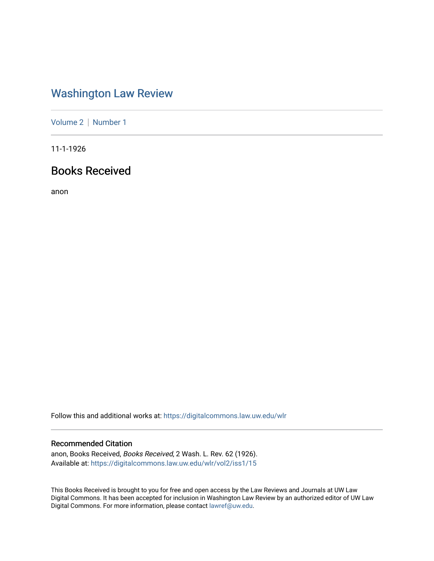## [Washington Law Review](https://digitalcommons.law.uw.edu/wlr)

[Volume 2](https://digitalcommons.law.uw.edu/wlr/vol2) | [Number 1](https://digitalcommons.law.uw.edu/wlr/vol2/iss1)

11-1-1926

### Books Received

anon

Follow this and additional works at: [https://digitalcommons.law.uw.edu/wlr](https://digitalcommons.law.uw.edu/wlr?utm_source=digitalcommons.law.uw.edu%2Fwlr%2Fvol2%2Fiss1%2F15&utm_medium=PDF&utm_campaign=PDFCoverPages)

#### Recommended Citation

anon, Books Received, Books Received, 2 Wash. L. Rev. 62 (1926). Available at: [https://digitalcommons.law.uw.edu/wlr/vol2/iss1/15](https://digitalcommons.law.uw.edu/wlr/vol2/iss1/15?utm_source=digitalcommons.law.uw.edu%2Fwlr%2Fvol2%2Fiss1%2F15&utm_medium=PDF&utm_campaign=PDFCoverPages)

This Books Received is brought to you for free and open access by the Law Reviews and Journals at UW Law Digital Commons. It has been accepted for inclusion in Washington Law Review by an authorized editor of UW Law Digital Commons. For more information, please contact [lawref@uw.edu.](mailto:lawref@uw.edu)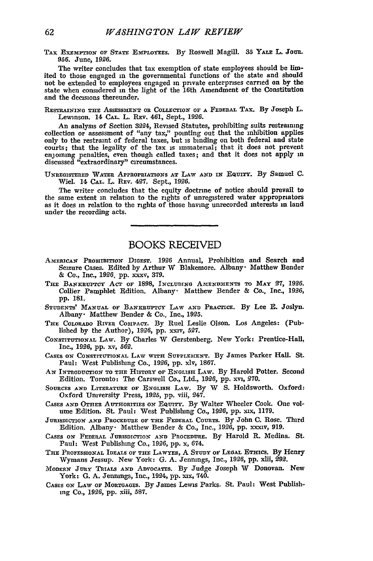TAx EXEMPTION **OF STATE EMPLOYEES. By** Roswell Magill. **35** YALE L. Join. **956.** June, **1926.**

The writer concludes that tax exemption of state employees should **be** limited to those engaged in the governmental functions of the state and should not be extended to employees engaged in private enterprises carned on **by** the state when considered in the light of the 16th Amendment of the Constitution and the decisions thereunder.

RESTRAININO THE ASSESSMENT OR COLLECTION OF **A FEDERAL** TAX. **By** Joseph L. Lewinson. 14 **CAL.** L. REv. 461, Sept., **1926.**

An analysis of Section *3224,* Revised Statutes, prohibiting suits restraining collection or assessment of "any tax," pointing out that the inhibition applies only to the restraint of federal taxes, but is binding on both federal and state courts; that the legality of the tax is immaterial; that it does not prevent enjoining penalties, even though called taxes; and that it does not apply *in* discussed "extraordinary" circumstances.

UNREGISTERED WATER APPROPRIATIONS **AT LAW AND IN EQUITY. By** Samuel **C.** Wiel. 14 **CAL.** L. REv. 427. Sept., *1926.*

The writer concludes that the equity doctrine of notice should prevail to the same extent in relation to the rights of unregistered water appropriators as it does in relation to the rights of those having unrecorded interests in land under the recording acts.

### BOOKS RECEIVED

- AMERICAN PROHIBITION DIGEST. 1926 Annual, Prohibition and Search and Seizure Cases. Edited **by** Arthur W Blakemore. Albany- Matthew Bender **&** Co., Inc., **1926, pp.** xxxv, **379.**
- THE **BANKRUPTCY ACT OF 1898, INCLUDING AMEDMiENTS TO MAY** *97,* **1926.** Collier Pamphlet Edition. Albany- Matthew Bender **&** Co., Inc., *1926,* **pp. 181.**
- **STUDENTS'** MANUAL OF BANiaUPTcY LAW **AND** PRACTICE. **By** Lee **B.** Joslyn. **Albany-** Matthew Bender **&** Co., Inc., *1925.*
- THE COLORADO RIVER COMPACT. By Ruel Leslie Olson. Los Angeles: (Published by the Author), 1926, pp. xxiv, *527.*
- CONSTITUTIONAL LAW. By Charles W Gerstenberg. New York: Prentice-Hall, Inc., 1926, pp. xv, *562.*
- CASES ON CONSTITUTIONAL LAW WITH **SUPPLEMENT. By** James Parker Hall. St. Paul: Vest Publishing Co., **1926, pp.** xlv, **1867.**
- *AN INTRODUCTION* TO **THE** HISTORY OF **ENGLISH** LAW. **By** Harold Potter. Second Edition. Toronto: The Carswell Co., Ltd., **1926, pp.** xvi, 270.
- **SOURCES AND** LITERATURE **OF ENGLISH** LAW. **By** W S. Holdsworth. Oxford: Oxford University Press, 1925, pp. viii, 247.
- **CASES AND** OTHER **AUTHORITIES** ON EQUITY. **By** Walter Wheeler Cook. One volume Edition. **St.** Paul: West Publishing Co., *1926,* **pp.** xxx, **1179.**
- **JURISDICTION AND PROCEDURE OF THE FEDERAL COURTS. By John C. Rose. Third** Edition. Albany- Matthew Bender & Co., Inc., **1926, pp.** xxxiv, **919.**
- **CASES** ON **FEDERAL JURISDICTION AND PROCEDURE. By** Harold R. Medina. St. Paul: West Publishing Co., **1926,** pp. x, 674.
- THE **PROFESSIONAL** IDEALS OF THE LAWYER, A STUDY **OF LEGAL** ETHICS. **By** Henry **Vymans** Jessup. New York: **G. A.** Jennings, Inc., **1926, pp. xlii, 292.**
- MODERN JURY TRIALS AND ADVOCATES. By Judge Joseph W Donovan. New York: **G. A.** Jenmngs, Inc., **1924, pp.** xix, 740.
- **CASES ON** LAW **OF** MORTGAGES. **By** James Lewis Parks. St. Paul: West Publishing Co., *1926,* pp. **xiii,** 587.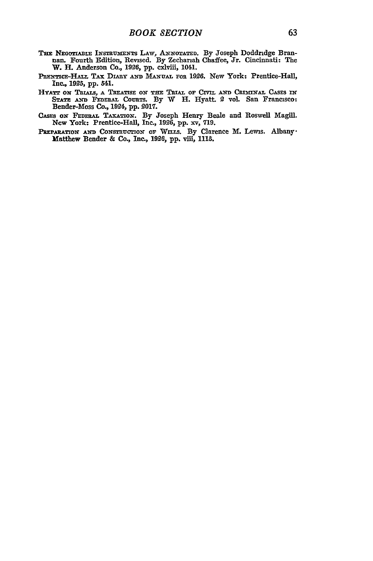- THE NEGOTIABLE INSTRUMENTS LAW, ANNOTATED. By Joseph Doddridge Brannan. Fourth Edition, Revised. By Zechariah Chaffee, Jr. Cincinnati: The W. H. Anderson Co., 1926, pp. cxlviii, 1041.
- PRENTICE-HALL TAX DIARY AND MANUAL FOR 1926. New York: Prentice-Hall, Inc., 1925, pp. 541.
- HYATT ON TRIAIS, A TREATISE ON THE TRIAL OF CIVIL AND CRIMINAL CASES IN STATE AND FEDERAL COURTS. By W H. Hyatt. 2 vol. San Francisco: Bender-Moss Co., 1924, pp. 2017.
- CASES ON FEDERAL TAXATION. By Joseph Henry Beale and Roswell Magill. New York: Prentice-Hall, Inc., 1926, pp. xv, 719.
- PREPARATION AND CONSTRUCTION OF WILLS. By Clarence M. Lewis. Albany. Matthew Bender & Co., Inc., 1926, pp. viii, 1115.